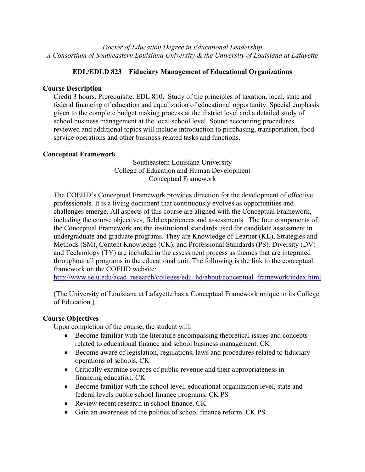*Doctor of Education Degree in Educational Leadership A Consortium of Southeastern Louisiana University & the University of Louisiana at Lafayette*

# **EDL/EDLD 823 Fiduciary Management of Educational Organizations**

### **Course Description**

Credit 3 hours. Prerequisite: EDL 810. Study of the principles of taxation, local, state and federal financing of education and equalization of educational opportunity. Special emphasis given to the complete budget making process at the district level and a detailed study of school business management at the local school level. Sound accounting procedures reviewed and additional topics will include introduction to purchasing, transportation, food service operations and other business-related tasks and functions.

## **Conceptual Framework**

Southeastern Louisiana University College of Education and Human Development Conceptual Framework

The COEHD's Conceptual Framework provides direction for the development of effective professionals. It is a living document that continuously evolves as opportunities and challenges emerge. All aspects of this course are aligned with the Conceptual Framework, including the course objectives, field experiences and assessments. The four components of the Conceptual Framework are the institutional standards used for candidate assessment in undergraduate and graduate programs. They are Knowledge of Learner (KL), Strategies and Methods (SM), Content Knowledge (CK), and Professional Standards (PS). Diversity (DV) and Technology (TY) are included in the assessment process as themes that are integrated throughout all programs in the educational unit. The following is the link to the conceptual framework on the COEHD website:

http://www.selu.edu/acad\_research/colleges/edu\_hd/about/conceptual\_framework/index.html

(The University of Louisiana at Lafayette has a Conceptual Framework unique to its College of Education.)

# **Course Objectives**

Upon completion of the course, the student will:

- Become familiar with the literature encompassing theoretical issues and concepts related to educational finance and school business management. CK
- Become aware of legislation, regulations, laws and procedures related to fiduciary operations of schools, CK
- Critically examine sources of public revenue and their appropriateness in financing education. CK
- Become familiar with the school level, educational organization level, state and federal levels public school finance programs, CK PS
- Review recent research in school finance. CK
- Gain an awareness of the politics of school finance reform. CK PS